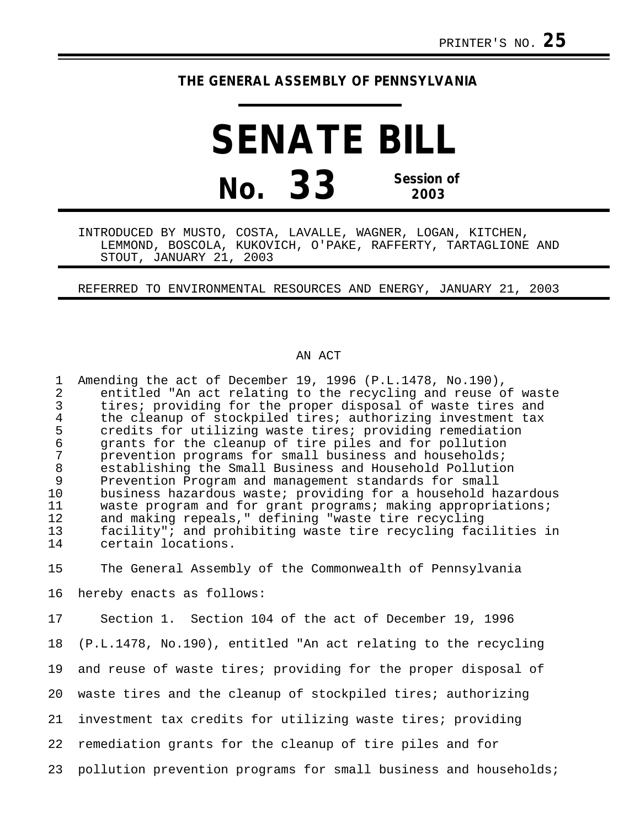## **THE GENERAL ASSEMBLY OF PENNSYLVANIA**

**SENATE BILL No. 33 Session of 2003**

INTRODUCED BY MUSTO, COSTA, LAVALLE, WAGNER, LOGAN, KITCHEN, LEMMOND, BOSCOLA, KUKOVICH, O'PAKE, RAFFERTY, TARTAGLIONE AND STOUT, JANUARY 21, 2003

REFERRED TO ENVIRONMENTAL RESOURCES AND ENERGY, JANUARY 21, 2003

## AN ACT

1 Amending the act of December 19, 1996 (P.L.1478, No.190),<br>2 entitled "An act relating to the recycling and reuse o 2 entitled "An act relating to the recycling and reuse of waste<br>3 tires; providing for the proper disposal of waste tires and 3 tires; providing for the proper disposal of waste tires and<br>4 the cleanup of stockpiled tires; authorizing investment tax 4 the cleanup of stockpiled tires; authorizing investment tax<br>5 credits for utilizing waste tires; providing remediation 5 credits for utilizing waste tires; providing remediation<br>6 grants for the cleanup of tire piles and for pollution 6 grants for the cleanup of tire piles and for pollution<br>7 prevention programs for small business and households; 7 prevention programs for small business and households;<br>8 establishing the Small Business and Household Pollutio 8 establishing the Small Business and Household Pollution<br>9 Prevention Program and management standards for small 9 Prevention Program and management standards for small<br>10 business hazardous waste; providing for a household h 10 business hazardous waste; providing for a household hazardous<br>11 waste program and for grant programs; making appropriations; 11 waste program and for grant programs; making appropriations;<br>12 and making repeals," defining "waste tire recycling 12 and making repeals," defining "waste tire recycling<br>13 facility"; and prohibiting waste tire recycling fac 13 facility"; and prohibiting waste tire recycling facilities in certain locations. 15 The General Assembly of the Commonwealth of Pennsylvania 16 hereby enacts as follows: 17 Section 1. Section 104 of the act of December 19, 1996 18 (P.L.1478, No.190), entitled "An act relating to the recycling 19 and reuse of waste tires; providing for the proper disposal of 20 waste tires and the cleanup of stockpiled tires; authorizing 21 investment tax credits for utilizing waste tires; providing 22 remediation grants for the cleanup of tire piles and for 23 pollution prevention programs for small business and households;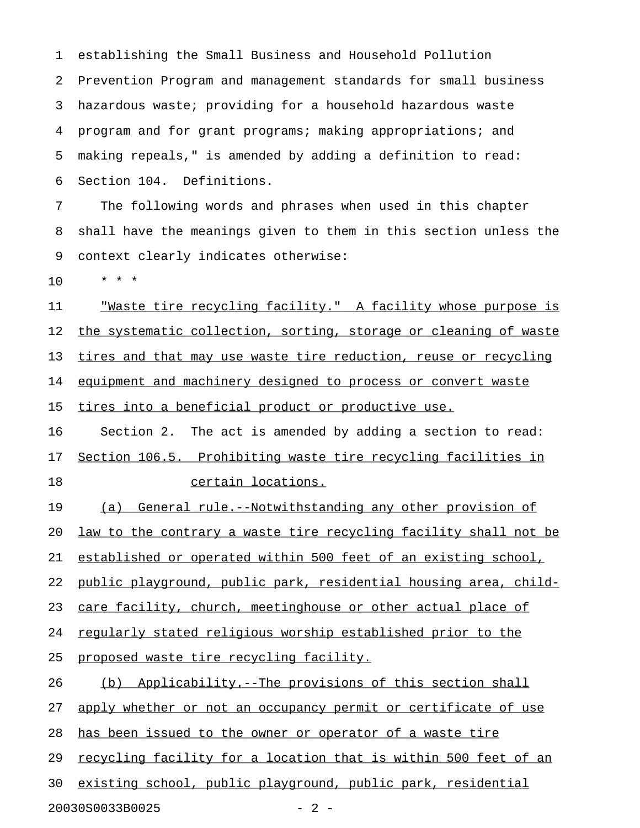1 establishing the Small Business and Household Pollution 2 Prevention Program and management standards for small business 3 hazardous waste; providing for a household hazardous waste 4 program and for grant programs; making appropriations; and 5 making repeals," is amended by adding a definition to read: 6 Section 104. Definitions.

7 The following words and phrases when used in this chapter 8 shall have the meanings given to them in this section unless the 9 context clearly indicates otherwise:

10 \* \* \*

11 Waste tire recycling facility." A facility whose purpose is 12 the systematic collection, sorting, storage or cleaning of waste 13 tires and that may use waste tire reduction, reuse or recycling 14 equipment and machinery designed to process or convert waste 15 tires into a beneficial product or productive use.

16 Section 2. The act is amended by adding a section to read: 17 Section 106.5. Prohibiting waste tire recycling facilities in 18 certain locations.

19 (a) General rule.--Notwithstanding any other provision of 20 law to the contrary a waste tire recycling facility shall not be 21 established or operated within 500 feet of an existing school, 22 public playground, public park, residential housing area, child-23 care facility, church, meetinghouse or other actual place of 24 regularly stated religious worship established prior to the 25 proposed waste tire recycling facility.

26 (b) Applicability.--The provisions of this section shall 27 apply whether or not an occupancy permit or certificate of use 28 has been issued to the owner or operator of a waste tire 29 recycling facility for a location that is within 500 feet of an 30 existing school, public playground, public park, residential

20030S0033B0025 - 2 -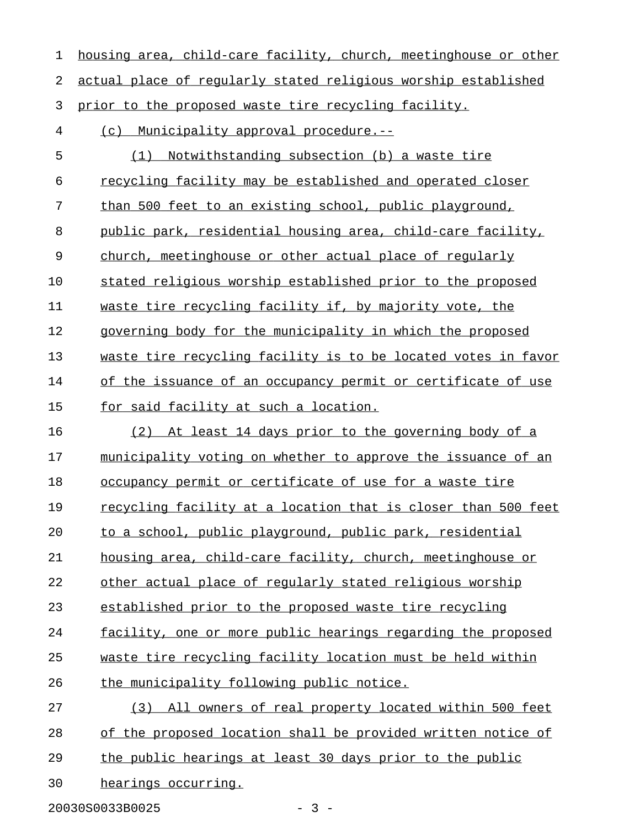| 1  | housing area, child-care facility, church, meetinghouse or other     |
|----|----------------------------------------------------------------------|
| 2  | actual place of regularly stated religious worship established       |
| 3  | prior to the proposed waste tire recycling facility.                 |
| 4  | (c) Municipality approval procedure.--                               |
| 5  | Notwithstanding subsection (b) a waste tire<br>(1)                   |
| 6  | recycling facility may be established and operated closer            |
| 7  | than 500 feet to an existing school, public playground,              |
| 8  | public park, residential housing area, child-care facility,          |
| 9  | church, meetinghouse or other actual place of regularly              |
| 10 | stated religious worship established prior to the proposed           |
| 11 | waste tire recycling facility if, by majority vote, the              |
| 12 | governing body for the municipality in which the proposed            |
| 13 | waste tire recycling facility is to be located votes in favor        |
| 14 | of the issuance of an occupancy permit or certificate of use         |
| 15 | <u>for said facility at such a location.</u>                         |
| 16 | (2) At least 14 days prior to the governing body of a                |
| 17 | municipality voting on whether to approve the issuance of an         |
| 18 | occupancy permit or certificate of use for a waste tire              |
| 19 | <u>recycling facility at a location that is closer than 500 feet</u> |
| 20 | to a school, public playground, public park, residential             |
| 21 | housing area, child-care facility, church, meetinghouse or           |
| 22 | other actual place of regularly stated religious worship             |
| 23 | established prior to the proposed waste tire recycling               |
| 24 | facility, one or more public hearings regarding the proposed         |
| 25 | waste tire recycling facility location must be held within           |
| 26 | the municipality following public notice.                            |
| 27 | All owners of real property located within 500 feet<br>(3)           |
| 28 | of the proposed location shall be provided written notice of         |
| 29 | the public hearings at least 30 days prior to the public             |
| 30 | hearings occurring.                                                  |